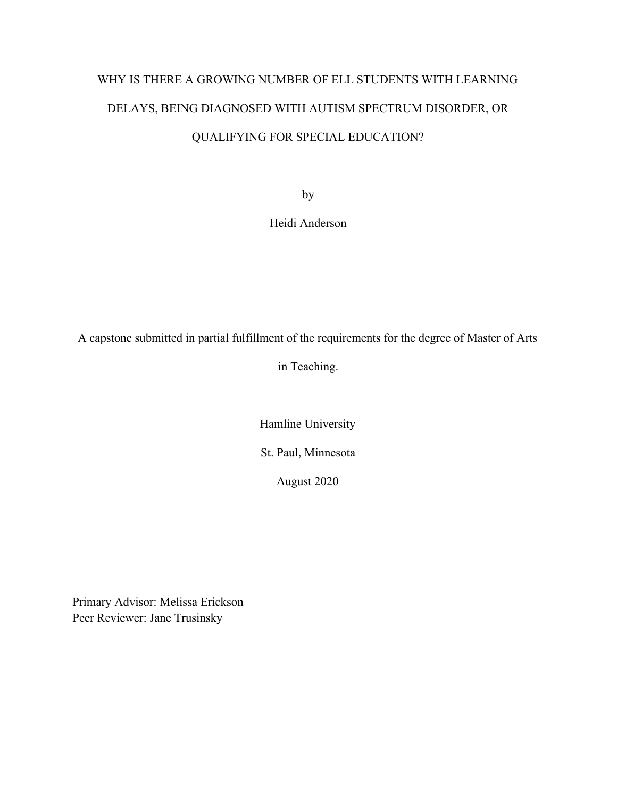# WHY IS THERE A GROWING NUMBER OF ELL STUDENTS WITH LEARNING DELAYS, BEING DIAGNOSED WITH AUTISM SPECTRUM DISORDER, OR QUALIFYING FOR SPECIAL EDUCATION?

by

# Heidi Anderson

A capstone submitted in partial fulfillment of the requirements for the degree of Master of Arts

in Teaching.

Hamline University

St. Paul, Minnesota

August 2020

Primary Advisor: Melissa Erickson Peer Reviewer: Jane Trusinsky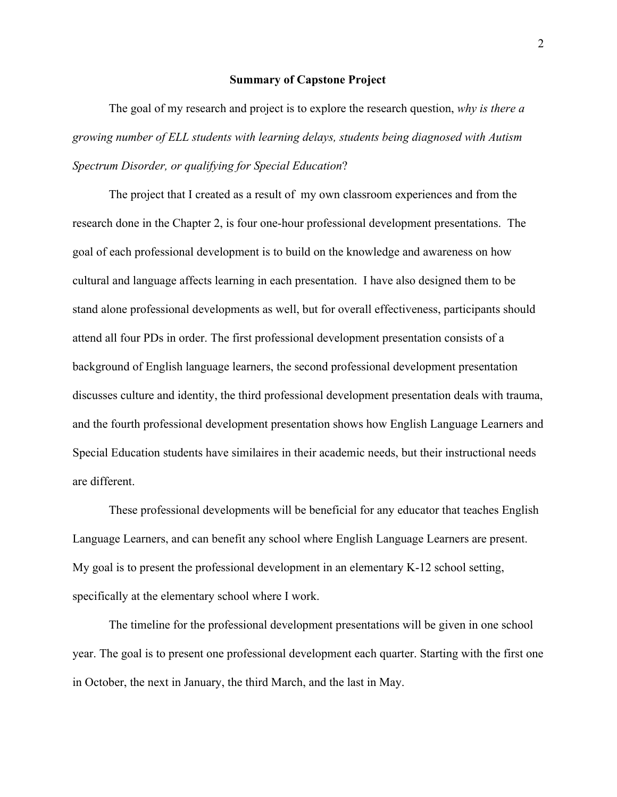# **Summary of Capstone Project**

The goal of my research and project is to explore the research question, *why is there a growing number of ELL students with learning delays, students being diagnosed with Autism Spectrum Disorder, or qualifying for Special Education*?

The project that I created as a result of my own classroom experiences and from the research done in the Chapter 2, is four one-hour professional development presentations. The goal of each professional development is to build on the knowledge and awareness on how cultural and language affects learning in each presentation. I have also designed them to be stand alone professional developments as well, but for overall effectiveness, participants should attend all four PDs in order. The first professional development presentation consists of a background of English language learners, the second professional development presentation discusses culture and identity, the third professional development presentation deals with trauma, and the fourth professional development presentation shows how English Language Learners and Special Education students have similaires in their academic needs, but their instructional needs are different.

These professional developments will be beneficial for any educator that teaches English Language Learners, and can benefit any school where English Language Learners are present. My goal is to present the professional development in an elementary K-12 school setting, specifically at the elementary school where I work.

The timeline for the professional development presentations will be given in one school year. The goal is to present one professional development each quarter. Starting with the first one in October, the next in January, the third March, and the last in May.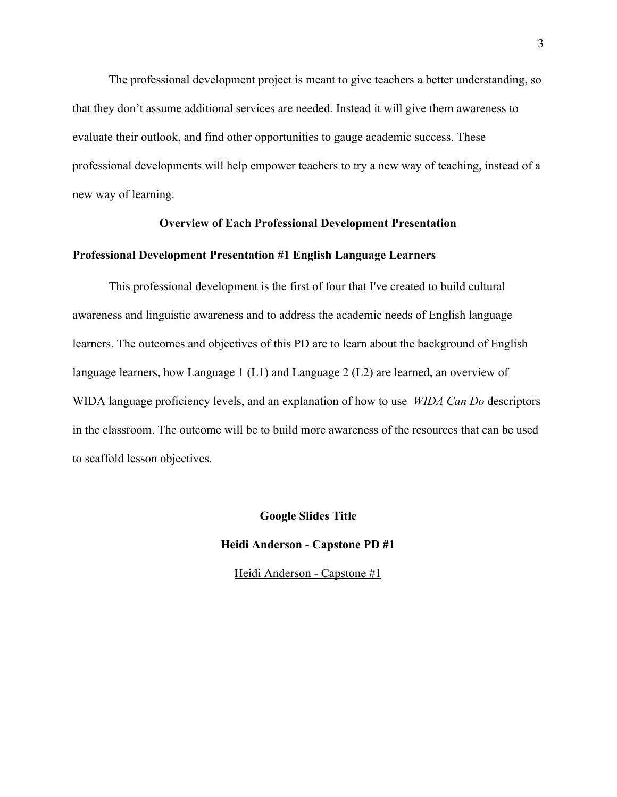The professional development project is meant to give teachers a better understanding, so that they don't assume additional services are needed. Instead it will give them awareness to evaluate their outlook, and find other opportunities to gauge academic success. These professional developments will help empower teachers to try a new way of teaching, instead of a new way of learning.

## **Overview of Each Professional Development Presentation**

## **Professional Development Presentation #1 English Language Learners**

This professional development is the first of four that I've created to build cultural awareness and linguistic awareness and to address the academic needs of English language learners. The outcomes and objectives of this PD are to learn about the background of English language learners, how Language 1 (L1) and Language 2 (L2) are learned, an overview of WIDA language proficiency levels, and an explanation of how to use *WIDA Can Do* descriptors in the classroom. The outcome will be to build more awareness of the resources that can be used to scaffold lesson objectives.

**Google Slides Title**

#### **Heidi Anderson - Capstone PD #1**

[Heidi Anderson - Capstone #1](https://docs.google.com/presentation/d/e/2PACX-1vT2J7KIBh4eG-29Bp_GAVhCSDzxTh2c0-TbNJTzQHiK1QnT1yXxBZR6wOdm3loXLssot2OqbckXsJAy/pub?start=false&loop=false&delayms=3000)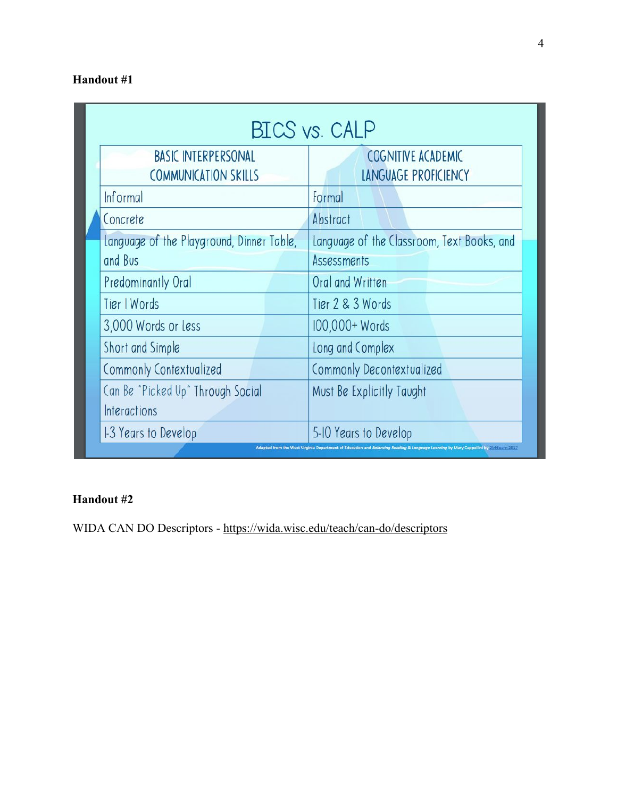# **Handout #1**

| BICS vs. CALP |                                                           |                                                                                          |
|---------------|-----------------------------------------------------------|------------------------------------------------------------------------------------------|
|               | <b>BASIC INTERPERSONAL</b><br><b>COMMUNICATION SKILLS</b> | <b>COGNITIVE ACADEMIC</b><br>LANGUAGE PROFICIENCY                                        |
|               | Informal                                                  | Formal                                                                                   |
|               | Concrete                                                  | Abstract                                                                                 |
|               | Language of the Playground, Dinner Table,                 | Language of the Classroom, Text Books, and                                               |
|               | and Bus                                                   | <b>Assessments</b>                                                                       |
|               | Predominantly Oral                                        | Oral and Written                                                                         |
|               | Tier   Words                                              | Tier 2 & 3 Words                                                                         |
|               | 3,000 Words or Less                                       | 100,000+ Words                                                                           |
|               | Short and Simple                                          | Long and Complex                                                                         |
|               | Commonly Contextualized                                   | Commonly Decontextualized                                                                |
|               | Can Be "Picked Up" Through Social                         | Must Be Explicitly Taught                                                                |
|               | Interactions                                              |                                                                                          |
|               | 1-3 Years to Develop                                      | 5-10 Years to Develop                                                                    |
|               |                                                           | Education and Balancing Reading & Language Learning by Mary Cappellini by 2000/2011/2011 |

# **Handout #2**

WIDA CAN DO Descriptors - <https://wida.wisc.edu/teach/can-do/descriptors>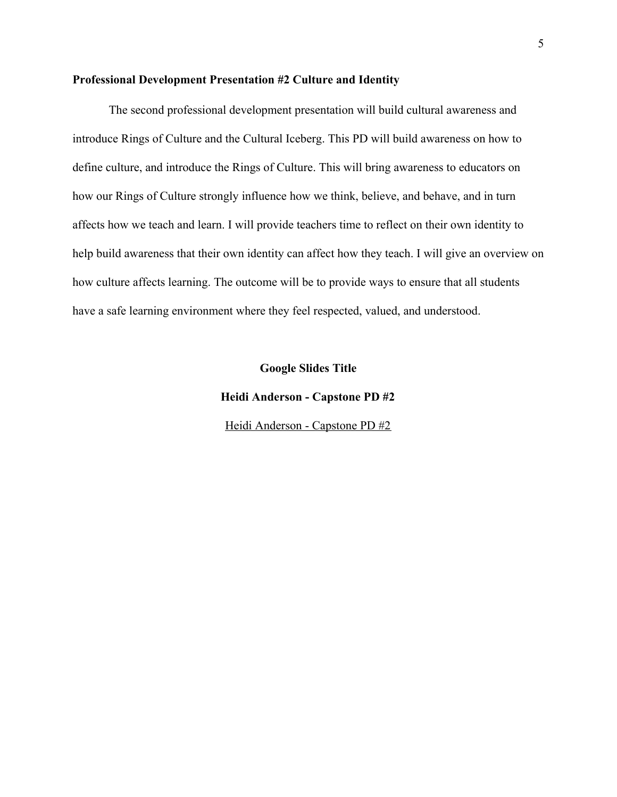#### **Professional Development Presentation #2 Culture and Identity**

The second professional development presentation will build cultural awareness and introduce Rings of Culture and the Cultural Iceberg. This PD will build awareness on how to define culture, and introduce the Rings of Culture. This will bring awareness to educators on how our Rings of Culture strongly influence how we think, believe, and behave, and in turn affects how we teach and learn. I will provide teachers time to reflect on their own identity to help build awareness that their own identity can affect how they teach. I will give an overview on how culture affects learning. The outcome will be to provide ways to ensure that all students have a safe learning environment where they feel respected, valued, and understood.

# **Google Slides Title**

#### **Heidi Anderson - Capstone PD #2**

[Heidi Anderson - Capstone PD #2](https://docs.google.com/presentation/d/e/2PACX-1vT-qCCQimi_6isJ6wDsnw90Jpp5ZZ2CbcvCZhxeqZnS9ehtayGFWK6bGrXCJkJPe_WwYv6zwQNnPT7H/pub?start=false&loop=false&delayms=3000)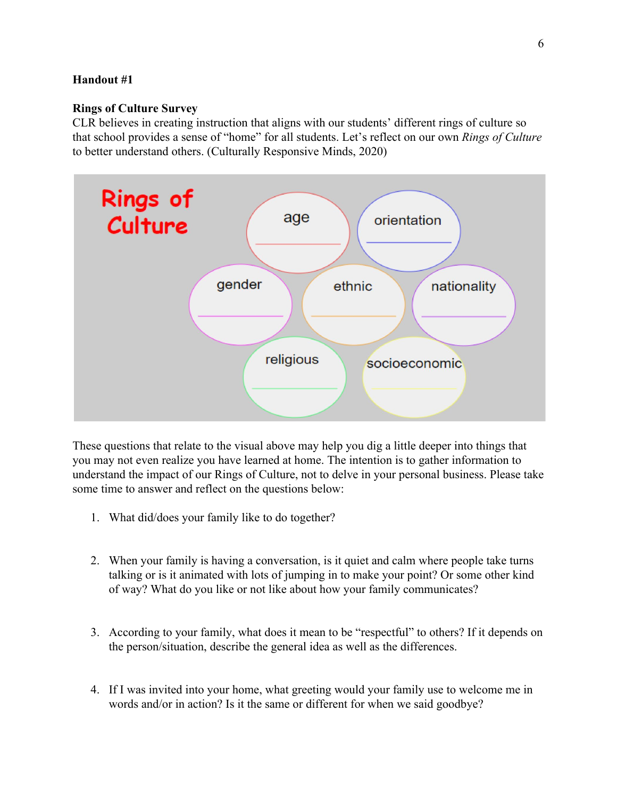# **Handout #1**

# **Rings of Culture Survey**

CLR believes in creating instruction that aligns with our students' different rings of culture so that school provides a sense of "home" for all students. Let's reflect on our own *Rings of Culture* to better understand others. (Culturally Responsive Minds, 2020)



These questions that relate to the visual above may help you dig a little deeper into things that you may not even realize you have learned at home. The intention is to gather information to understand the impact of our Rings of Culture, not to delve in your personal business. Please take some time to answer and reflect on the questions below:

- 1. What did/does your family like to do together?
- 2. When your family is having a conversation, is it quiet and calm where people take turns talking or is it animated with lots of jumping in to make your point? Or some other kind of way? What do you like or not like about how your family communicates?
- 3. According to your family, what does it mean to be "respectful" to others? If it depends on the person/situation, describe the general idea as well as the differences.
- 4. If I was invited into your home, what greeting would your family use to welcome me in words and/or in action? Is it the same or different for when we said goodbye?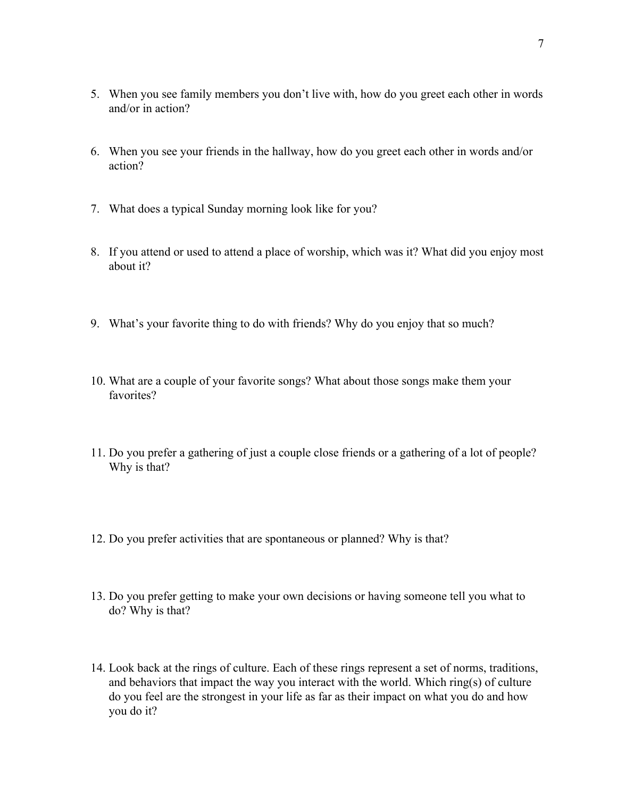- 5. When you see family members you don't live with, how do you greet each other in words and/or in action?
- 6. When you see your friends in the hallway, how do you greet each other in words and/or action?
- 7. What does a typical Sunday morning look like for you?
- 8. If you attend or used to attend a place of worship, which was it? What did you enjoy most about it?
- 9. What's your favorite thing to do with friends? Why do you enjoy that so much?
- 10. What are a couple of your favorite songs? What about those songs make them your favorites?
- 11. Do you prefer a gathering of just a couple close friends or a gathering of a lot of people? Why is that?
- 12. Do you prefer activities that are spontaneous or planned? Why is that?
- 13. Do you prefer getting to make your own decisions or having someone tell you what to do? Why is that?
- 14. Look back at the rings of culture. Each of these rings represent a set of norms, traditions, and behaviors that impact the way you interact with the world. Which ring(s) of culture do you feel are the strongest in your life as far as their impact on what you do and how you do it?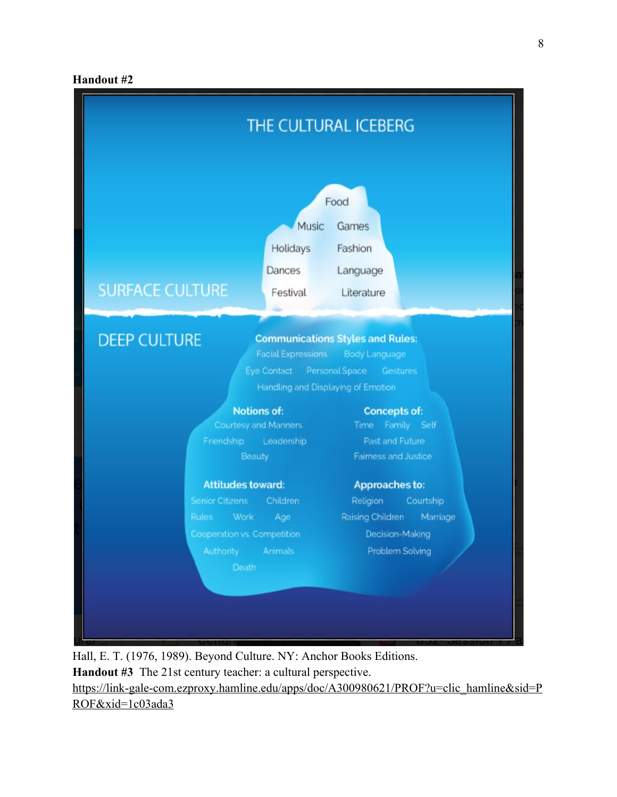# **Handout #2**



Hall, E. T. (1976, 1989). Beyond Culture. NY: Anchor Books Editions. **Handout #3** The 21st century teacher: a cultural perspective. [https://link-gale-com.ezproxy.hamline.edu/apps/doc/A300980621/PROF?u=clic\\_hamline&sid=P](https://link-gale-com.ezproxy.hamline.edu/apps/doc/A300980621/PROF?u=clic_hamline&sid=PROF&xid=1c03ada3) [ROF&xid=1c03ada3](https://link-gale-com.ezproxy.hamline.edu/apps/doc/A300980621/PROF?u=clic_hamline&sid=PROF&xid=1c03ada3)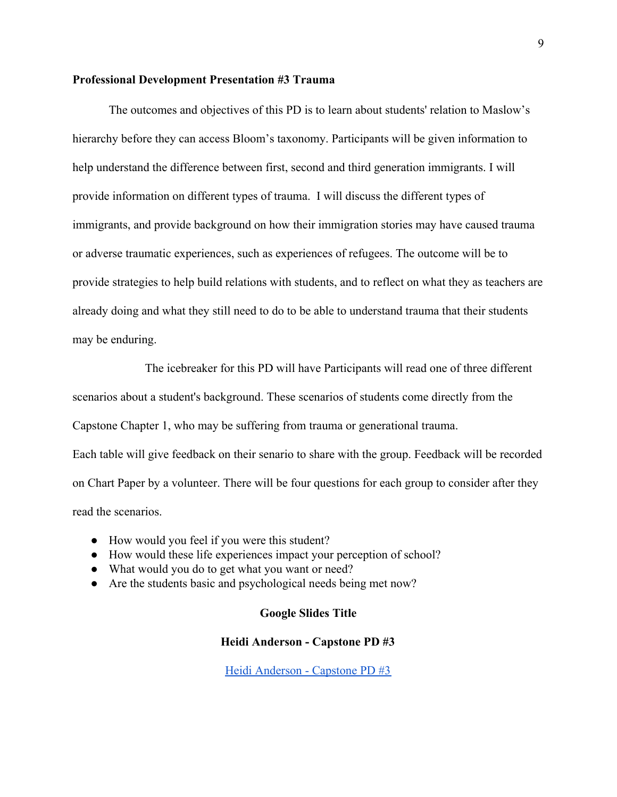#### **Professional Development Presentation #3 Trauma**

The outcomes and objectives of this PD is to learn about students' relation to Maslow's hierarchy before they can access Bloom's taxonomy. Participants will be given information to help understand the difference between first, second and third generation immigrants. I will provide information on different types of trauma. I will discuss the different types of immigrants, and provide background on how their immigration stories may have caused trauma or adverse traumatic experiences, such as experiences of refugees. The outcome will be to provide strategies to help build relations with students, and to reflect on what they as teachers are already doing and what they still need to do to be able to understand trauma that their students may be enduring.

The icebreaker for this PD will have Participants will read one of three different scenarios about a student's background. These scenarios of students come directly from the Capstone Chapter 1, who may be suffering from trauma or generational trauma. Each table will give feedback on their senario to share with the group. Feedback will be recorded on Chart Paper by a volunteer. There will be four questions for each group to consider after they read the scenarios.

- How would you feel if you were this student?
- How would these life experiences impact your perception of school?
- What would you do to get what you want or need?
- Are the students basic and psychological needs being met now?

# **Google Slides Title**

#### **Heidi Anderson - Capstone PD #3**

[Heidi Anderson - Capstone PD #3](https://docs.google.com/presentation/d/e/2PACX-1vShD7-wKZypAz7mLSeoUGqLeq1fJcKdb_3tmf60Rg7-Je6ptyUvg2emkF0rUqJAe_OSMkUXLTH53Ins/pub?start=false&loop=false&delayms=3000)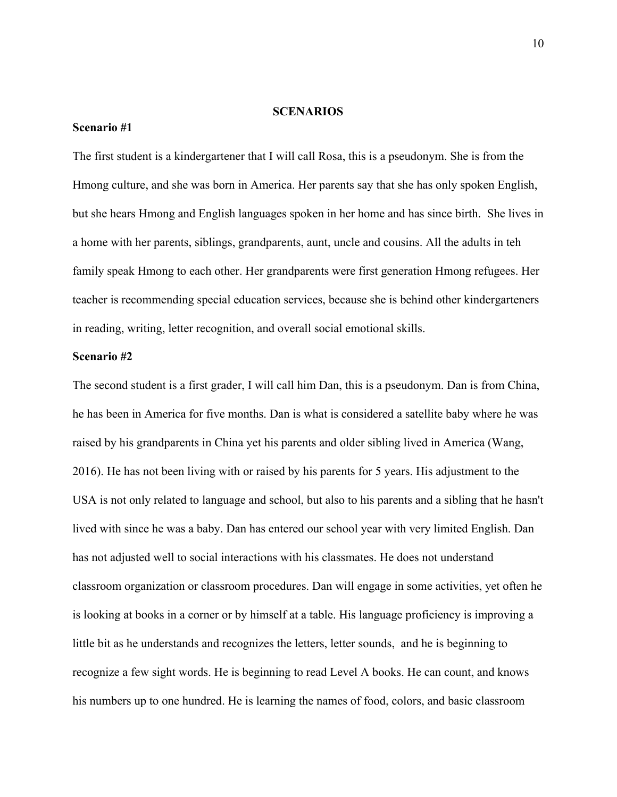## **SCENARIOS**

#### **Scenario #1**

The first student is a kindergartener that I will call Rosa, this is a pseudonym. She is from the Hmong culture, and she was born in America. Her parents say that she has only spoken English, but she hears Hmong and English languages spoken in her home and has since birth. She lives in a home with her parents, siblings, grandparents, aunt, uncle and cousins. All the adults in teh family speak Hmong to each other. Her grandparents were first generation Hmong refugees. Her teacher is recommending special education services, because she is behind other kindergarteners in reading, writing, letter recognition, and overall social emotional skills.

#### **Scenario #2**

The second student is a first grader, I will call him Dan, this is a pseudonym. Dan is from China, he has been in America for five months. Dan is what is considered a satellite baby where he was raised by his grandparents in China yet his parents and older sibling lived in America (Wang, 2016). He has not been living with or raised by his parents for 5 years. His adjustment to the USA is not only related to language and school, but also to his parents and a sibling that he hasn't lived with since he was a baby. Dan has entered our school year with very limited English. Dan has not adjusted well to social interactions with his classmates. He does not understand classroom organization or classroom procedures. Dan will engage in some activities, yet often he is looking at books in a corner or by himself at a table. His language proficiency is improving a little bit as he understands and recognizes the letters, letter sounds, and he is beginning to recognize a few sight words. He is beginning to read Level A books. He can count, and knows his numbers up to one hundred. He is learning the names of food, colors, and basic classroom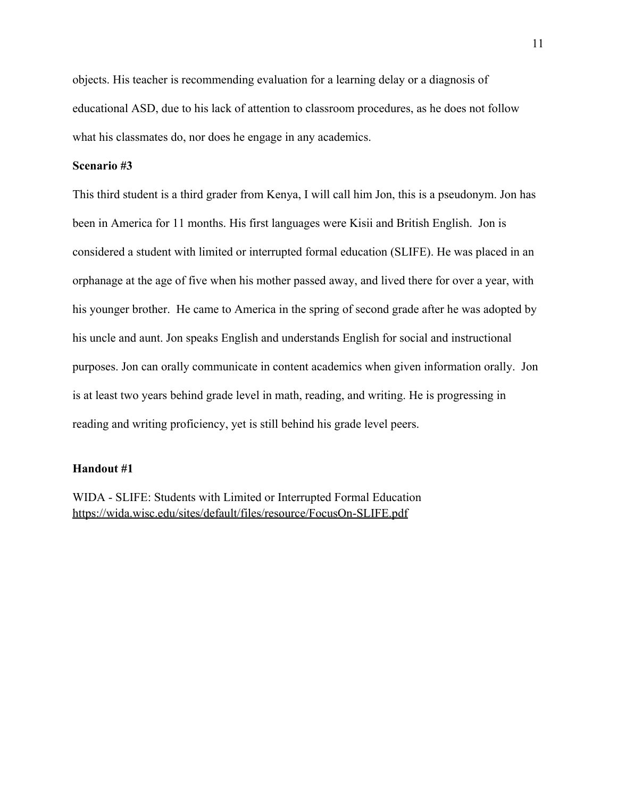objects. His teacher is recommending evaluation for a learning delay or a diagnosis of educational ASD, due to his lack of attention to classroom procedures, as he does not follow what his classmates do, nor does he engage in any academics.

# **Scenario #3**

This third student is a third grader from Kenya, I will call him Jon, this is a pseudonym. Jon has been in America for 11 months. His first languages were Kisii and British English. Jon is considered a student with limited or interrupted formal education (SLIFE). He was placed in an orphanage at the age of five when his mother passed away, and lived there for over a year, with his younger brother. He came to America in the spring of second grade after he was adopted by his uncle and aunt. Jon speaks English and understands English for social and instructional purposes. Jon can orally communicate in content academics when given information orally. Jon is at least two years behind grade level in math, reading, and writing. He is progressing in reading and writing proficiency, yet is still behind his grade level peers.

## **Handout #1**

WIDA - SLIFE: Students with Limited or Interrupted Formal Education <https://wida.wisc.edu/sites/default/files/resource/FocusOn-SLIFE.pdf>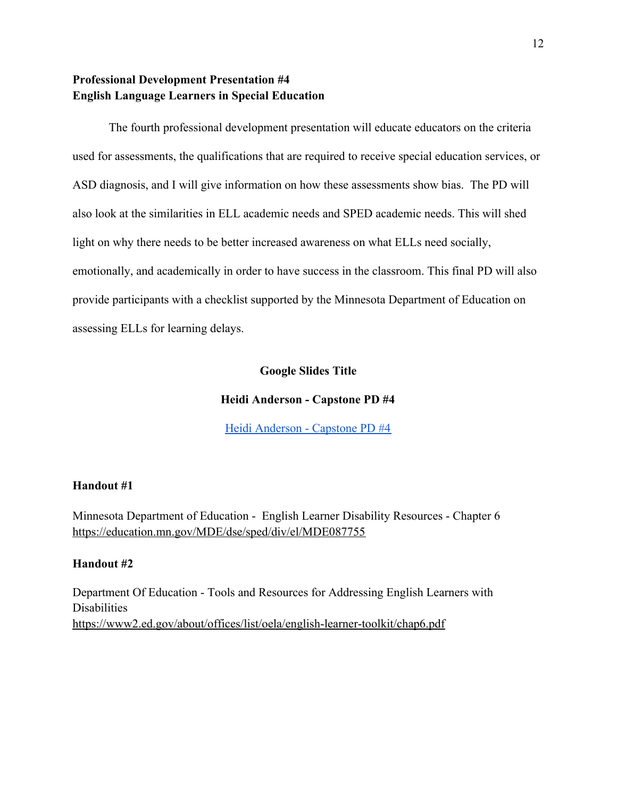# **Professional Development Presentation #4 English Language Learners in Special Education**

The fourth professional development presentation will educate educators on the criteria used for assessments, the qualifications that are required to receive special education services, or ASD diagnosis, and I will give information on how these assessments show bias. The PD will also look at the similarities in ELL academic needs and SPED academic needs. This will shed light on why there needs to be better increased awareness on what ELLs need socially, emotionally, and academically in order to have success in the classroom. This final PD will also provide participants with a checklist supported by the Minnesota Department of Education on assessing ELLs for learning delays.

## **Google Slides Title**

# **Heidi Anderson - Capstone PD #4**

[Heidi Anderson - Capstone PD #4](https://docs.google.com/presentation/d/e/2PACX-1vQHDIp7wrZptEGvV0J7iI7_Fz7DlHO-itwOvmJyqFieUiBPIg6iXN0bHei5YYrgnJYYql1TBLMHzCCN/pub?start=false&loop=false&delayms=3000)

# **Handout #1**

Minnesota Department of Education - English Learner Disability Resources - Chapter 6 <https://education.mn.gov/MDE/dse/sped/div/el/MDE087755>

## **Handout #2**

Department Of Education - Tools and Resources for Addressing English Learners with **Disabilities** <https://www2.ed.gov/about/offices/list/oela/english-learner-toolkit/chap6.pdf>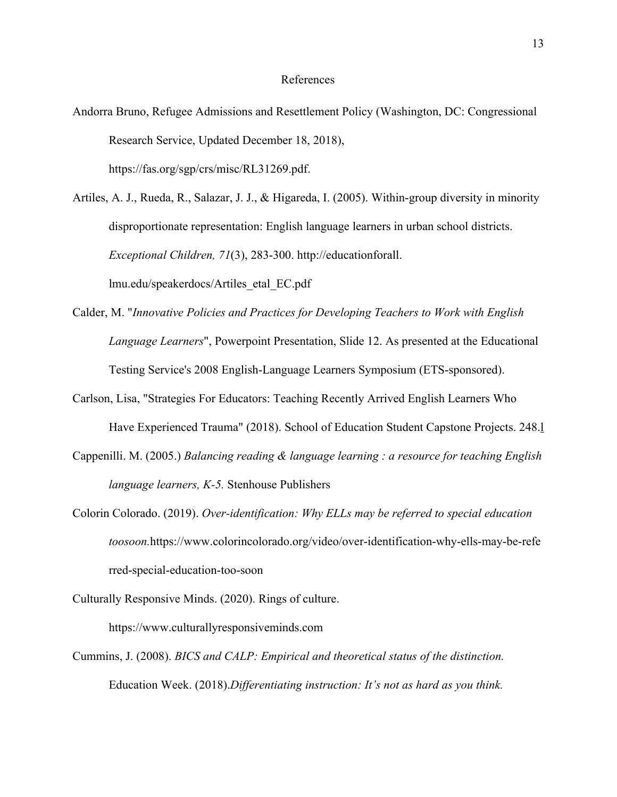#### References

- Andorra Bruno, Refugee Admissions and Resettlement Policy (Washington, DC: Congressional Research Service, Updated December 18, 2018), https://fas.org/sgp/crs/misc/RL31269.pdf.
- Artiles, A. J., Rueda, R., Salazar, J. J., & Higareda, I. (2005). Within-group diversity in minority disproportionate representation: English language learners in urban school districts. *Exceptional Children, 71*(3), 283-300. http://educationforall. lmu.edu/speakerdocs/Artiles\_etal\_EC.pdf
- Calder, M. "*Innovative Policies and Practices for Developing Teachers to Work with English Language Learners*", Powerpoint Presentation, Slide 12. As presented at the Educational Testing Service's 2008 English-Language Learners Symposium (ETS-sponsored).
- Carlson, Lisa, "Strategies For Educators: Teaching Recently Arrived English Learners Who Have Experienced Trauma" (2018). School of Education Student Capstone Projects. 248[.l](https://www.simplypsychology.org/maslow.html)
- Cappenilli. M. (2005.) *Balancing reading & language learning : a resource for teaching English language learners, K-5.* Stenhouse Publishers
- Colorin Colorado. (2019). *Over-identification: Why ELLs may be referred to special education toosoon.*https://www.colorincolorado.org/video/over-identification-why-ells-may-be-refe rred-special-education-too-soon
- Culturally Responsive Minds. (2020). Rings of culture.

[https://www.culturallyresponsiveminds.com](https://www.culturallyresponsiveminds.com/)

Cummins, J. (2008). *BICS and CALP: Empirical and theoretical status of the distinction.* Education Week. (2018).*Differentiating instruction: It's not as hard as you think.*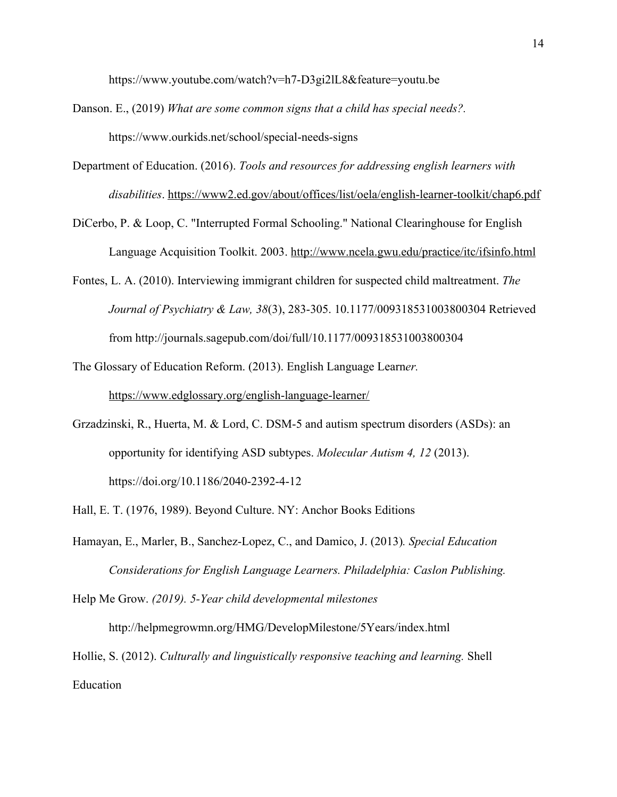https://www.youtube.com/watch?v=h7-D3gi2lL8&feature=youtu.be

- Danson. E., (2019) *What are some common signs that a child has special needs?.* <https://www.ourkids.net/school/special-needs-signs>
- Department of Education. (2016). *Tools and resources for addressing english learners with disabilities*.<https://www2.ed.gov/about/offices/list/oela/english-learner-toolkit/chap6.pdf>
- DiCerbo, P. & Loop, C. "Interrupted Formal Schooling." National Clearinghouse for English Language Acquisition Toolkit. 2003. <http://www.ncela.gwu.edu/practice/itc/ifsinfo.html>
- Fontes, L. A. (2010). Interviewing immigrant children for suspected child maltreatment. *The Journal of Psychiatry & Law, 38*(3), 283-305. 10.1177/009318531003800304 Retrieved from http://journals.sagepub.com/doi/full/10.1177/009318531003800304
- The Glossary of Education Reform. (2013). English Language Learn*er.* <https://www.edglossary.org/english-language-learner/>
- Grzadzinski, R., Huerta, M. & Lord, C. DSM-5 and autism spectrum disorders (ASDs): an opportunity for identifying ASD subtypes. *Molecular Autism 4, 12* (2013). <https://doi.org/10.1186/2040-2392-4-12>
- Hall, E. T. (1976, 1989). Beyond Culture. NY: Anchor Books Editions
- Hamayan, E., Marler, B., Sanchez-Lopez, C., and Damico, J. (2013)*. Special Education Considerations for English Language Learners. Philadelphia: Caslon Publishing.*

Help Me Grow. *(2019). 5-Year child developmental milestones*

http://helpmegrowmn.org/HMG/DevelopMilestone/5Years/index.html

Hollie, S. (2012). *Culturally and linguistically responsive teaching and learning.* Shell Education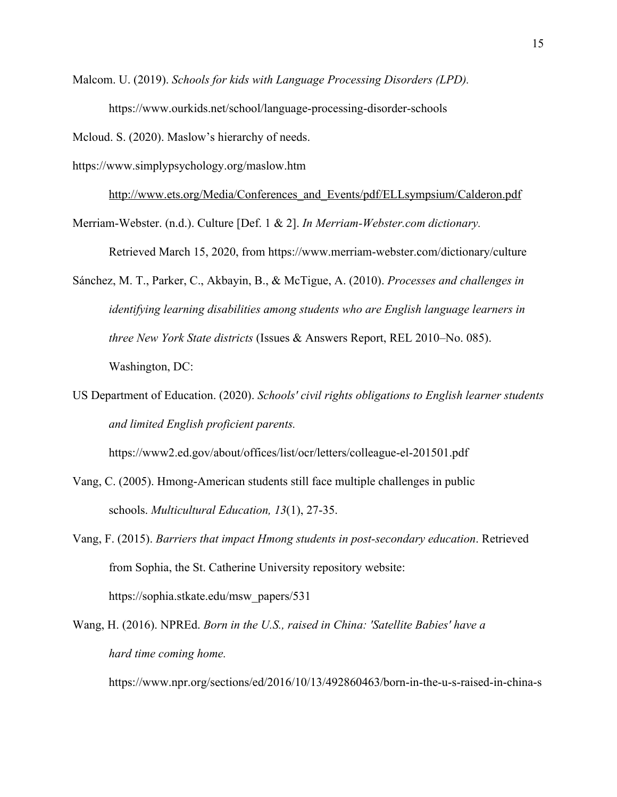Malcom. U. (2019). *Schools for kids with Language Processing Disorders (LPD).* <https://www.ourkids.net/school/language-processing-disorder-schools>

Mcloud. S. (2020). Maslow's hierarchy of needs.

[https://www.simplypsychology.org/maslow.htm](https://www.simplypsychology.org/maslow.html)

[http://www.ets.org/Media/Conferences\\_and\\_Events/pdf/ELLsympsium/Calderon.pdf](http://www.ets.org/Media/Conferences_and_Events/pdf/ELLsympsium/Calderon.pdf)

Merriam-Webster. (n.d.). Culture [Def. 1 & 2]. *In Merriam-Webster.com dictionary.*

Retrieved March 15, 2020, from [https](https://www.merriam-webster.com/dictionary/culture)://www.merriam-webster.com/dictionary/culture

- Sánchez, M. T., Parker, C., Akbayin, B., & McTigue, A. (2010). *Processes and challenges in identifying learning disabilities among students who are English language learners in three New York State districts* (Issues & Answers Report, REL 2010–No. 085). Washington, DC:
- US Department of Education. (2020). *Schools' civil rights obligations to English learner students and limited English proficient parents.*

<https://www2.ed.gov/about/offices/list/ocr/letters/colleague-el-201501.pdf>

- Vang, C. (2005). Hmong-American students still face multiple challenges in public schools. *Multicultural Education, 13*(1), 27-35.
- Vang, F. (2015). *Barriers that impact Hmong students in post-secondary education*. Retrieved from Sophia, the St. Catherine University repository website: https://sophia.stkate.edu/msw\_papers/531
- Wang, H. (2016). NPREd. *Born in the U.S., raised in China: 'Satellite Babies' have a hard time coming home.*

https://www.npr.org/sections/ed/2016/10/13/492860463/born-in-the-u-s-raised-in-china-s